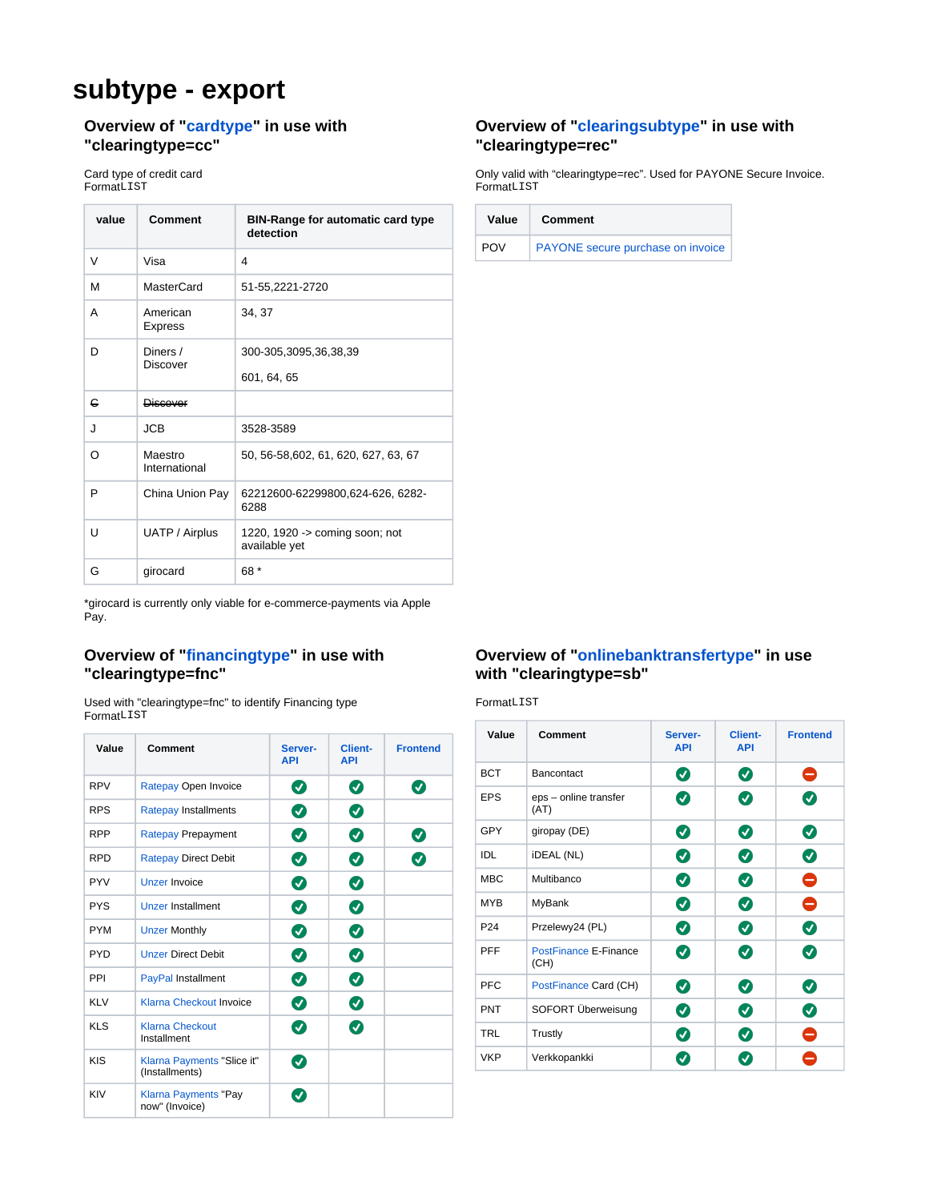# **subtype - export**

#### **Overview of "[cardtype"](https://docs.payone.com/display/PLATFORM/cardtype+-+definition) in use with "clearingtype=cc"**

FormatLIST FormatLIST Format LIST Card type of credit card

| value    | <b>Comment</b>              | <b>BIN-Range for automatic card type</b><br>detection |  |
|----------|-----------------------------|-------------------------------------------------------|--|
| V        | Visa                        | 4                                                     |  |
| м        | MasterCard                  | 51-55,2221-2720                                       |  |
| A        | American<br><b>Express</b>  | 34, 37                                                |  |
| D        | Diners /<br><b>Discover</b> | 300-305,3095,36,38,39                                 |  |
|          |                             | 601, 64, 65                                           |  |
| G        | <b>Discover</b>             |                                                       |  |
| <b>.</b> | <b>JCB</b>                  | 3528-3589                                             |  |
| റ        | Maestro<br>International    | 50, 56-58, 602, 61, 620, 627, 63, 67                  |  |
| P        | China Union Pay             | 62212600-62299800,624-626, 6282-<br>6288              |  |
| U        | UATP / Airplus              | 1220, 1920 -> coming soon; not<br>available yet       |  |
| G        | girocard                    | 68 *                                                  |  |

\*girocard is currently only viable for e-commerce-payments via Apple Pay.

#### **Overview of "[financingtype](https://docs.payone.com/display/PLATFORM/financingtype+-+definition)" in use with "clearingtype=fnc"**

FormatLIST Used with "clearingtype=fnc" to identify Financing type

| Value      | Comment                                       | Server-<br><b>API</b> | <b>Client-</b><br><b>API</b> | <b>Frontend</b> |
|------------|-----------------------------------------------|-----------------------|------------------------------|-----------------|
| <b>RPV</b> | Ratepay Open Invoice                          | Ø                     | Ø                            | Ø               |
| <b>RPS</b> | <b>Ratepay Installments</b>                   | Ø                     | Ø                            |                 |
| <b>RPP</b> | <b>Ratepay Prepayment</b>                     | Ø                     | Ø                            | $\bm{\omega}$   |
| <b>RPD</b> | <b>Ratepay Direct Debit</b>                   | Ø                     | Ø                            | $\bm{v}$        |
| <b>PYV</b> | <b>Unzer Invoice</b>                          | Ø                     | Ø                            |                 |
| <b>PYS</b> | <b>Unzer Installment</b>                      | Ø                     | Ø                            |                 |
| <b>PYM</b> | <b>Unzer Monthly</b>                          | Ø                     | Ø                            |                 |
| <b>PYD</b> | <b>Unzer Direct Debit</b>                     | Ø                     | Ø                            |                 |
| <b>PPI</b> | PayPal Installment                            | Ø                     | Ø                            |                 |
| <b>KLV</b> | Klarna Checkout Invoice                       | Ø                     | Ø                            |                 |
| <b>KLS</b> | <b>Klarna Checkout</b><br>Installment         | Ø                     | $\bm{\bm{\sigma}}$           |                 |
| <b>KIS</b> | Klarna Payments "Slice it"<br>(Installments)  | $\bm{\sigma}$         |                              |                 |
| KIV        | <b>Klarna Payments "Pay</b><br>now" (Invoice) | $\bm{\sigma}$         |                              |                 |

#### **Overview of "[clearingsubtype](https://docs.payone.com/display/PLATFORM/clearingsubtype+-+definition)" in use with "clearingtype=rec"**

Only valid with "clearingtype=rec". Used for PAYONE Secure Invoice.

| Value      | Comment                           |
|------------|-----------------------------------|
| <b>POV</b> | PAYONE secure purchase on invoice |

## **Overview of "[onlinebanktransfertype](https://docs.payone.com/display/PLATFORM/onlinebanktransfertype+-+definition)" in use with "clearingtype=sb"**

FormatLIST

| Value           | Comment                       | Server-<br><b>API</b> | <b>Client-</b><br><b>API</b> | <b>Frontend</b> |
|-----------------|-------------------------------|-----------------------|------------------------------|-----------------|
| <b>BCT</b>      | Bancontact                    | Ø                     | Ø                            | θ               |
| <b>EPS</b>      | eps - online transfer<br>(AT) | Ø                     | Ø                            | Ø               |
| GPY             | giropay (DE)                  | Ø                     | Ø                            | Ø               |
| IDL             | <b>iDEAL</b> (NL)             | Ø                     | Ø                            | ◙               |
| <b>MBC</b>      | Multibanco                    | ◙                     | Ø                            | $\bullet$       |
| <b>MYB</b>      | <b>MyBank</b>                 | Ø                     | Ø                            | $\bullet$       |
| P <sub>24</sub> | Przelewy24 (PL)               | Ø                     | Ø                            | Ø               |
| <b>PFF</b>      | PostFinance E-Finance<br>(CH) | Ø                     | Ø                            | Ø               |
| <b>PFC</b>      | PostFinance Card (CH)         | Ø                     | Ø                            | Ø               |
| <b>PNT</b>      | SOFORT Überweisung            | Ø                     | Ø                            | Ø               |
| TRL             | Trustly                       | Ø                     | Ø                            | Ξ               |
| <b>VKP</b>      | Verkkopankki                  | $\blacktriangledown$  | ✔                            |                 |